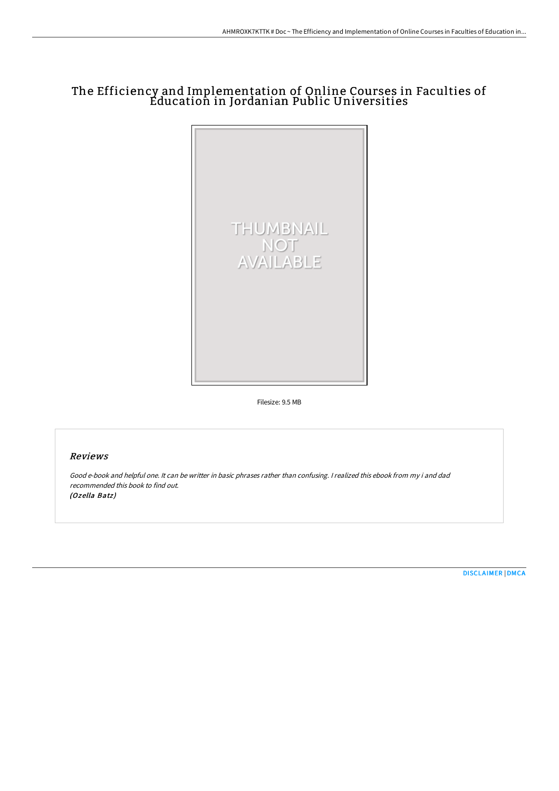## The Efficiency and Implementation of Online Courses in Faculties of Education in Jordanian Public Universities



Filesize: 9.5 MB

## Reviews

Good e-book and helpful one. It can be writter in basic phrases rather than confusing. <sup>I</sup> realized this ebook from my i and dad recommended this book to find out. (Ozella Batz)

[DISCLAIMER](http://techno-pub.tech/disclaimer.html) | [DMCA](http://techno-pub.tech/dmca.html)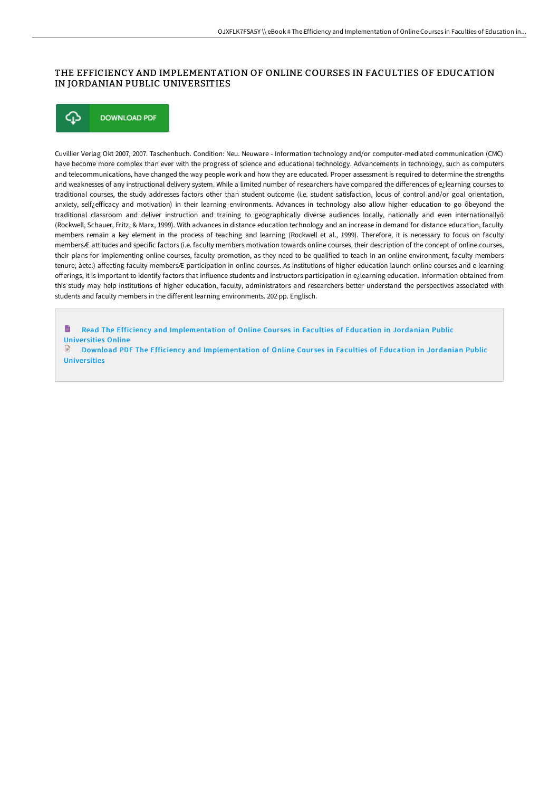## THE EFFICIENCY AND IMPLEMENTATION OF ONLINE COURSES IN FACULTIES OF EDUCATION IN JORDANIAN PUBLIC UNIVERSITIES



Cuvillier Verlag Okt 2007, 2007. Taschenbuch. Condition: Neu. Neuware - Information technology and/or computer-mediated communication (CMC) have become more complex than ever with the progress of science and educational technology. Advancements in technology, such as computers and telecommunications, have changed the way people work and how they are educated. Proper assessment is required to determine the strengths and weaknesses of any instructional delivery system. While a limited number of researchers have compared the differences of e¿learning courses to traditional courses, the study addresses factors other than student outcome (i.e. student satisfaction, locus of control and/or goal orientation, anxiety, self¿efficacy and motivation) in their learning environments. Advances in technology also allow higher education to go ôbeyond the traditional classroom and deliver instruction and training to geographically diverse audiences locally, nationally and even internationallyö (Rockwell, Schauer, Fritz, & Marx, 1999). With advances in distance education technology and an increase in demand for distance education, faculty members remain a key element in the process of teaching and learning (Rockwell et al., 1999). Therefore, it is necessary to focus on faculty membersÆ attitudes and specific factors (i.e. faculty members motivation towards online courses, their description of the concept of online courses, their plans for implementing online courses, faculty promotion, as they need to be qualified to teach in an online environment, faculty members tenure, àetc.) affecting faculty membersÆ participation in online courses. As institutions of higher education launch online courses and e-learning offerings, it is important to identify factors that influence students and instructors participation in e<sub>L</sub>learning education. Information obtained from this study may help institutions of higher education, faculty, administrators and researchers better understand the perspectives associated with students and faculty members in the different learning environments. 202 pp. Englisch.

h Read The Efficiency and [Implementation](http://techno-pub.tech/the-efficiency-and-implementation-of-online-cour.html) of Online Courses in Faculties of Education in Jordanian Public Univer sities Online

Download PDF The Efficiency and [Implementation](http://techno-pub.tech/the-efficiency-and-implementation-of-online-cour.html) of Online Courses in Faculties of Education in Jordanian Public **Universities**